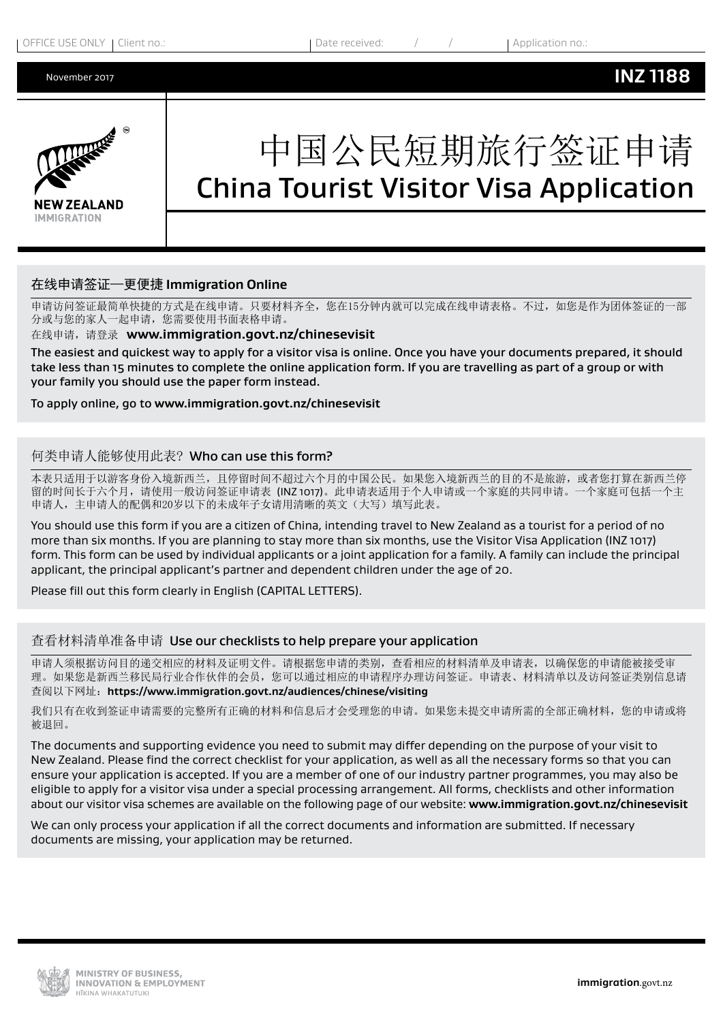**INZ 1188**



# 中国公民短期旅行签证申请 China Tourist Visitor Visa Application

# 在线申请签证—更便捷 **Immigration Online**

申请访问签证最简单快捷的方式是在线申请。只要材料齐全,您在15分钟内就可以完成在线申请表格。不过,如您是作为团体签证的一部 分或与您的家人一起申请,您需要使用书面表格申请。

#### 在线申请,请登录 **www.immigration.govt.nz/chinesevisit**

The easiest and quickest way to apply for a visitor visa is online. Once you have your documents prepared, it should take less than 15 minutes to complete the online application form. If you are travelling as part of a group or with your family you should use the paper form instead.

#### To apply online, go to **www.immigration.govt.nz/chinesevisit**

### 何类申请人能够使用此表? Who can use this form?

本表只适用于以游客身份入境新西兰,且停留时间不超过六个月的中国公民。如果您入境新西兰的目的不是旅游,或者您打算在新西兰停 留的时间长于六个月,请使用一般访问签证申请表 (INZ 1017)。此申请表适用于个人申请或一个家庭的共同申请。一个家庭可包括一个主 申请人,主申请人的配偶和20岁以下的未成年子女请用清晰的英文(大写)填写此表。

You should use this form if you are a citizen of China, intending travel to New Zealand as a tourist for a period of no more than six months. If you are planning to stay more than six months, use the Visitor Visa Application (INZ 1017) form. This form can be used by individual applicants or a joint application for a family. A family can include the principal applicant, the principal applicant's partner and dependent children under the age of 20.

Please fill out this form clearly in English (CAPITAL LETTERS).

#### 查看材料清单准备申请 Use our checklists to help prepare your application

申请人须根据访问目的递交相应的材料及证明文件。请根据您申请的类别,查看相应的材料清单及申请表,以确保您的申请能被接受审 理。如果您是新西兰移民局行业合作伙伴的会员,您可以通过相应的申请程序办理访问签证。申请表、材料清单以及访问签证类别信息请 查阅以下网址:**https://www.immigration.govt.nz/audiences/chinese/visiting**

我们只有在收到签证申请需要的完整所有正确的材料和信息后才会受理您的申请。如果您未提交申请所需的全部正确材料,您的申请或将 被退回。

The documents and supporting evidence you need to submit may differ depending on the purpose of your visit to New Zealand. Please find the correct checklist for your application, as well as all the necessary forms so that you can ensure your application is accepted. If you are a member of one of our industry partner programmes, you may also be eligible to apply for a visitor visa under a special processing arrangement. All forms, checklists and other information about our visitor visa schemes are available on the following page of our website: **[www.immigration.govt.nz/chinesevisit](https://www.immigration.govt.nz/placeholders/audiences/chinese/visiting)**

We can only process your application if all the correct documents and information are submitted. If necessary documents are missing, your application may be returned.

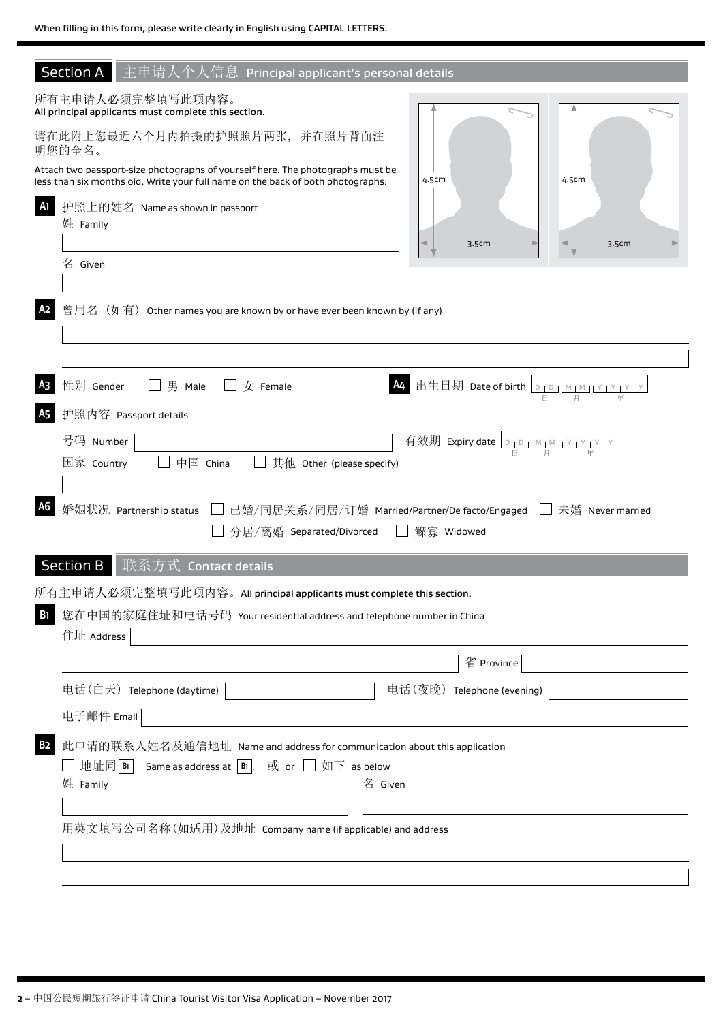| <b>Section A</b><br>主申请人个人信息 Principal applicant's personal details                                                                                                                                                                                                                                                                             |                                                                                                                                                                 |
|-------------------------------------------------------------------------------------------------------------------------------------------------------------------------------------------------------------------------------------------------------------------------------------------------------------------------------------------------|-----------------------------------------------------------------------------------------------------------------------------------------------------------------|
| 所有主申请人必须完整填写此项内容。<br>All principal applicants must complete this section.<br>请在此附上您最近六个月内拍摄的护照照片两张,并在照片背面注<br>明您的全名。<br>Attach two passport-size photographs of yourself here. The photographs must be<br>less than six months old. Write your full name on the back of both photographs.<br>A1<br>护照上的姓名 Name as shown in passport<br>姓 Family | 4.5cm<br>4.5cm<br>3.5cm<br>3.5cm                                                                                                                                |
| 名 Given<br>A2<br>曾用名(如有)Other names you are known by or have ever been known by (if any)                                                                                                                                                                                                                                                        |                                                                                                                                                                 |
| 性别 Gender<br>A <sub>3</sub><br>男 Male<br>$\pm$ Female<br><b>A5</b><br>护照内容 Passport details<br>号码 Number<br>国家 Country<br>中国 China<br>其他 Other (please specify)<br>$\perp$                                                                                                                                                                      | 出生日期 Date of birth $\frac{\log \left\lfloor \frac{N}{2} \right\rfloor}{\log \left\lfloor \frac{N}{2} \right\rfloor}$<br>有效期 Expiry date <u>Diplimimity typy</u> |
| A6<br>婚姻状况 Partnership status<br>分居/离婚 Separated/Divorced                                                                                                                                                                                                                                                                                       | □ 已婚/同居关系/同居/订婚 Married/Partner/De facto/Engaged □ 未婚 Never married<br>□ 鳏寡 Widowed                                                                             |
| <b>Section B</b><br>联系方式 Contact details<br>所有主申请人必须完整填写此项内容。All principal applicants must complete this section.                                                                                                                                                                                                                               |                                                                                                                                                                 |
| 您在中国的家庭住址和电话号码 Your residential address and telephone number in China<br><b>B</b> 1<br>住址 Address                                                                                                                                                                                                                                               |                                                                                                                                                                 |
|                                                                                                                                                                                                                                                                                                                                                 | 省 Province                                                                                                                                                      |
| 电话(白天) Telephone (daytime)                                                                                                                                                                                                                                                                                                                      | 电话(夜晚) Telephone (evening)                                                                                                                                      |
| 电子邮件 Email                                                                                                                                                                                                                                                                                                                                      |                                                                                                                                                                 |
| 此申请的联系人姓名及通信地址 Name and address for communication about this application<br>B2<br>□ 地址同 в1<br>Same as address at $ B $ , 或 or $\Box$ 如下 as below<br>姓 Family<br>名 Given<br>用英文填写公司名称(如适用)及地址 Company name (if applicable) and address                                                                                                           |                                                                                                                                                                 |
|                                                                                                                                                                                                                                                                                                                                                 |                                                                                                                                                                 |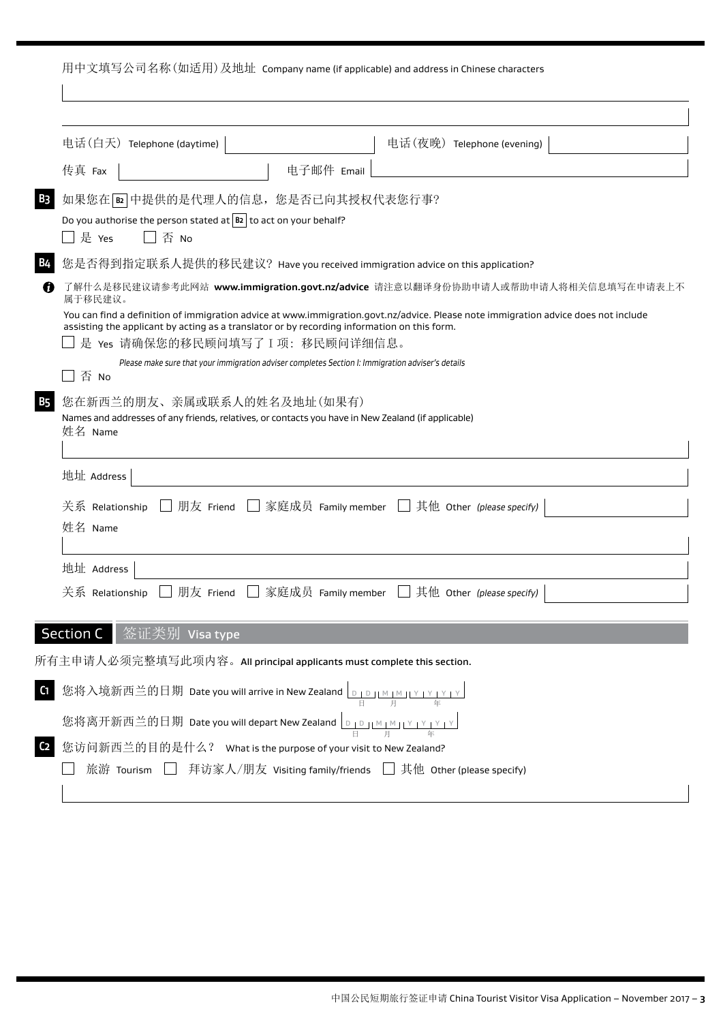用中文填写公司名称(如适用)及地址 Company name (if applicable) and address in Chinese characters

| 电话(白天) Telephone (daytime)                                                                                                                                                                                                                               | 电话(夜晚) Telephone (evening)                                                                                                                                                                                            |
|----------------------------------------------------------------------------------------------------------------------------------------------------------------------------------------------------------------------------------------------------------|-----------------------------------------------------------------------------------------------------------------------------------------------------------------------------------------------------------------------|
| 传真 Fax<br>电子邮件 Email                                                                                                                                                                                                                                     |                                                                                                                                                                                                                       |
| 如果您在 B2 中提供的是代理人的信息, 您是否已向其授权代表您行事?<br>Do you authorise the person stated at $ B2 $ to act on your behalf?<br>│ 是 Yes<br>否 No                                                                                                                            |                                                                                                                                                                                                                       |
| 您是否得到指定联系人提供的移民建议? Have you received immigration advice on this application?                                                                                                                                                                             |                                                                                                                                                                                                                       |
| 属于移民建议。<br>assisting the applicant by acting as a translator or by recording information on this form.<br>是 Yes 请确保您的移民顾问填写了 I 项: 移民顾问详细信息。<br>Please make sure that your immigration adviser completes Section I: Immigration adviser's details<br>否 No | 了解什么是移民建议请参考此网站 www.immigration.govt.nz/advice 请注意以翻译身份协助申请人或帮助申请人将相关信息填写在申请表上不<br>You can find a definition of immigration advice at www.immigration.govt.nz/advice. Please note immigration advice does not include |
| 您在新西兰的朋友、亲属或联系人的姓名及地址(如果有)<br>Names and addresses of any friends, relatives, or contacts you have in New Zealand (if applicable)<br>姓名 Name<br>地址 Address                                                                                                |                                                                                                                                                                                                                       |
| 关系 Relationship<br>姓名 Name                                                                                                                                                                                                                               | 朋友 Friend     家庭成员 Family member     其他 Other (please specify)                                                                                                                                                        |
| 地址 Address                                                                                                                                                                                                                                               |                                                                                                                                                                                                                       |
| 朋友 Friend<br>关系 Relationship                                                                                                                                                                                                                             | └─│ 家庭成员   Family member    └─│ 其他   Other   (please specify)                                                                                                                                                         |
| Section C<br>签证类别<br>Visa type                                                                                                                                                                                                                           |                                                                                                                                                                                                                       |
| 所有主申请人必须完整填写此项内容。All principal applicants must complete this section.                                                                                                                                                                                    |                                                                                                                                                                                                                       |
| 您将入境新西兰的日期 Date you will arrive in New Zealand <u>Department Year Year</u><br>您将离开新西兰的日期 Date you will depart New Zealand <u>Dipliminity in price</u><br>您访问新西兰的目的是什么? What is the purpose of your visit to New Zealand?                                 |                                                                                                                                                                                                                       |
| 旅游 Tourism □ 拜访家人/朋友 Visiting family/friends □ 其他 Other (please specify)                                                                                                                                                                                 |                                                                                                                                                                                                                       |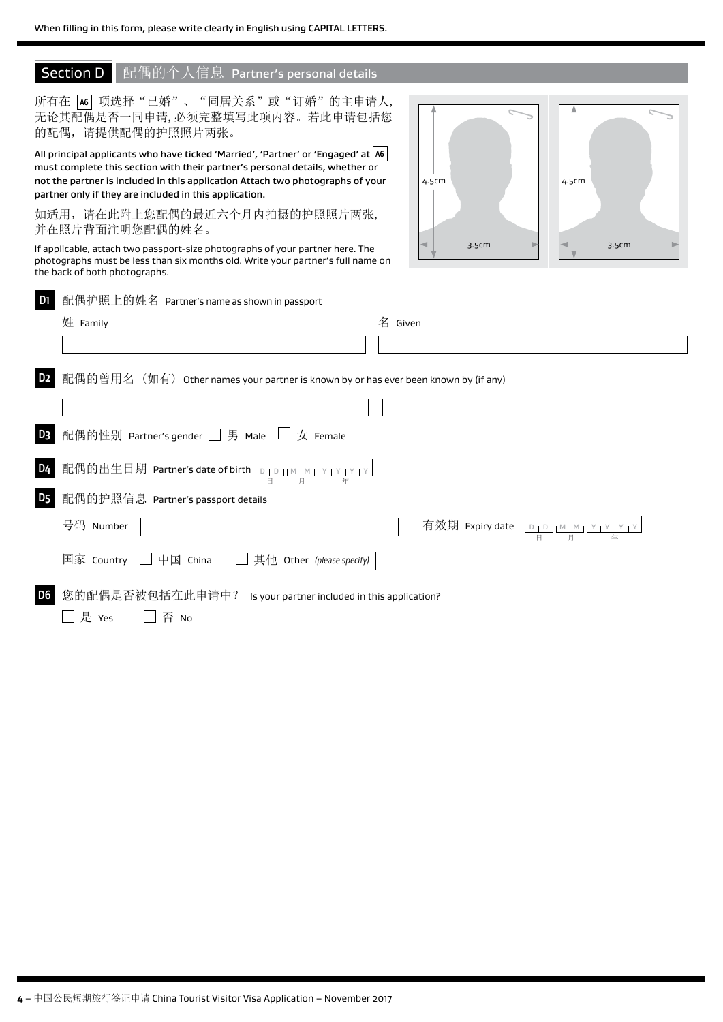# Section D 配偶的个人信息 Partner's personal details

|                | 所有在 [46] 项选择"已婚"、"同居关系"或"订婚"的主申请人,<br>无论其配偶是否一同申请, 必须完整填写此项内容。若此申请包括您<br>的配偶,请提供配偶的护照照片两张。                                                                                                                                                                                                                   |         |       |       |                                              |  |
|----------------|--------------------------------------------------------------------------------------------------------------------------------------------------------------------------------------------------------------------------------------------------------------------------------------------------------------|---------|-------|-------|----------------------------------------------|--|
|                | All principal applicants who have ticked 'Married', 'Partner' or 'Engaged' at A6<br>must complete this section with their partner's personal details, whether or<br>not the partner is included in this application Attach two photographs of your<br>partner only if they are included in this application. |         | 4.5cm |       | 4.5cm                                        |  |
|                | 如适用, 请在此附上您配偶的最近六个月内拍摄的护照照片两张,<br>并在照片背面注明您配偶的姓名。                                                                                                                                                                                                                                                            |         |       |       |                                              |  |
|                | If applicable, attach two passport-size photographs of your partner here. The<br>photographs must be less than six months old. Write your partner's full name on<br>the back of both photographs.                                                                                                            |         |       | 3.5cm | 3.5cm                                        |  |
| D <sub>1</sub> | 配偶护照上的姓名 Partner's name as shown in passport                                                                                                                                                                                                                                                                 |         |       |       |                                              |  |
|                | 姓 Family                                                                                                                                                                                                                                                                                                     | 名 Given |       |       |                                              |  |
|                |                                                                                                                                                                                                                                                                                                              |         |       |       |                                              |  |
| D <sub>2</sub> | 配偶的曾用名(如有)Other names your partner is known by or has ever been known by (if any)                                                                                                                                                                                                                            |         |       |       |                                              |  |
|                |                                                                                                                                                                                                                                                                                                              |         |       |       |                                              |  |
| D <sub>3</sub> | 配偶的性别 Partner's gender □ 男 Male □ 女 Female                                                                                                                                                                                                                                                                   |         |       |       |                                              |  |
| D <sub>4</sub> | 配偶的出生日期 Partner's date of birth $\boxed{\frac{D+D+ \mathcal{M} + \mathcal{N} + \mathcal{N} + \mathcal{N} }{\omega}}$                                                                                                                                                                                         |         |       |       |                                              |  |
| <b>D5</b>      | 配偶的护照信息 Partner's passport details                                                                                                                                                                                                                                                                           |         |       |       |                                              |  |
|                | 号码 Number                                                                                                                                                                                                                                                                                                    |         |       |       | 有效期 Expiry date <u>Dip IM IM IY IY IY IY</u> |  |
|                | 国家 Country<br>其他 Other (please specify)<br>$\Box$ 中国 China $\Box$                                                                                                                                                                                                                                            |         |       |       |                                              |  |
| D <sub>6</sub> | 您的配偶是否被包括在此申请中? Is your partner included in this application?<br>是 Yes<br>否 No                                                                                                                                                                                                                               |         |       |       |                                              |  |
|                |                                                                                                                                                                                                                                                                                                              |         |       |       |                                              |  |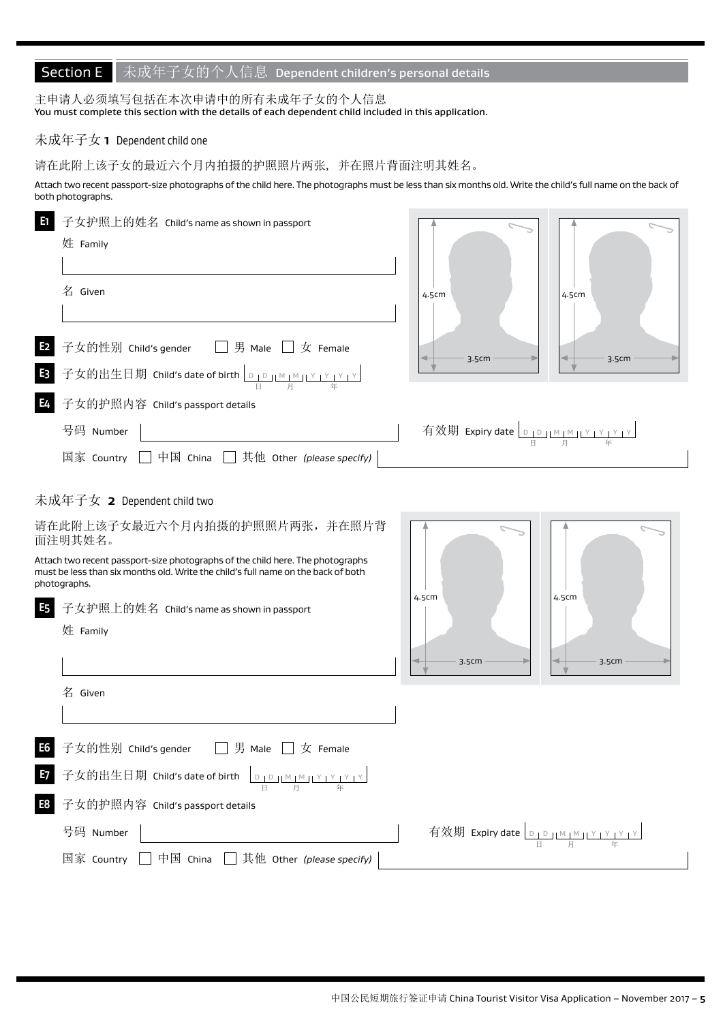# Section E 未成年子女的个人信息 Dependent children's personal details

主申请人必须填写包括在本次申请中的所有未成年子女的个人信息 You must complete this section with the details of each dependent child included in this application.

# 未成年子女 **1** Dependent child one

请在此附上该子女的最近六个月内拍摄的护照照片两张, 并在照片背面注明其姓名。

Attach two recent passport-size photographs of the child here. The photographs must be less than six months old. Write the child's full name on the back of both photographs.

| E1             | 子女护照上的姓名 Child's name as shown in passport<br>姓 Family                                                                                                                              |                                            |       |
|----------------|-------------------------------------------------------------------------------------------------------------------------------------------------------------------------------------|--------------------------------------------|-------|
|                | 名 Given                                                                                                                                                                             | 4.5cm                                      | 4.5cm |
| E <sub>2</sub> | □ 男 Male □ 女 Female<br>子女的性别 Child's gender                                                                                                                                         | 3.5cm                                      | 3.5cm |
| E <sub>3</sub> | 子女的出生日期 Child's date of birth <u>Departion prodective</u>                                                                                                                           |                                            |       |
| <b>E4</b>      | 子女的护照内容 Child's passport details                                                                                                                                                    |                                            |       |
|                | 号码 Number                                                                                                                                                                           | 有效期 Expiry date <u>DIDIMIMILY LYTYTY</u>   |       |
|                | 国家 Country □ 中国 China □ 其他 Other (please specify)                                                                                                                                   |                                            |       |
|                | 未成年子女 2 Dependent child two                                                                                                                                                         |                                            |       |
|                | 请在此附上该子女最近六个月内拍摄的护照照片两张,并在照片背<br>面注明其姓名。                                                                                                                                            |                                            |       |
|                | Attach two recent passport-size photographs of the child here. The photographs<br>must be less than six months old. Write the child's full name on the back of both<br>photographs. | 4.5cm                                      | 4.5cm |
| <b>E5</b>      | 子女护照上的姓名 Child's name as shown in passport                                                                                                                                          |                                            |       |
|                | 姓 Family                                                                                                                                                                            |                                            |       |
|                |                                                                                                                                                                                     | 3.5cm                                      | 3.5cm |
|                | 名 Given                                                                                                                                                                             |                                            |       |
|                |                                                                                                                                                                                     |                                            |       |
| E <sub>6</sub> | 子女的性别 Child's gender<br>$\Box$ 男 Male $\Box$<br>$\overline{x}$ Female                                                                                                               |                                            |       |
| E7             |                                                                                                                                                                                     |                                            |       |
| E8             | 子女的护照内容 Child's passport details                                                                                                                                                    |                                            |       |
|                | 号码 Number                                                                                                                                                                           | 有效期 Expiry date <u>DIDJIMIMJIYIYIYIYIY</u> |       |
|                | 中国 China<br>其他 Other (please specify)<br>国家 Country                                                                                                                                 |                                            |       |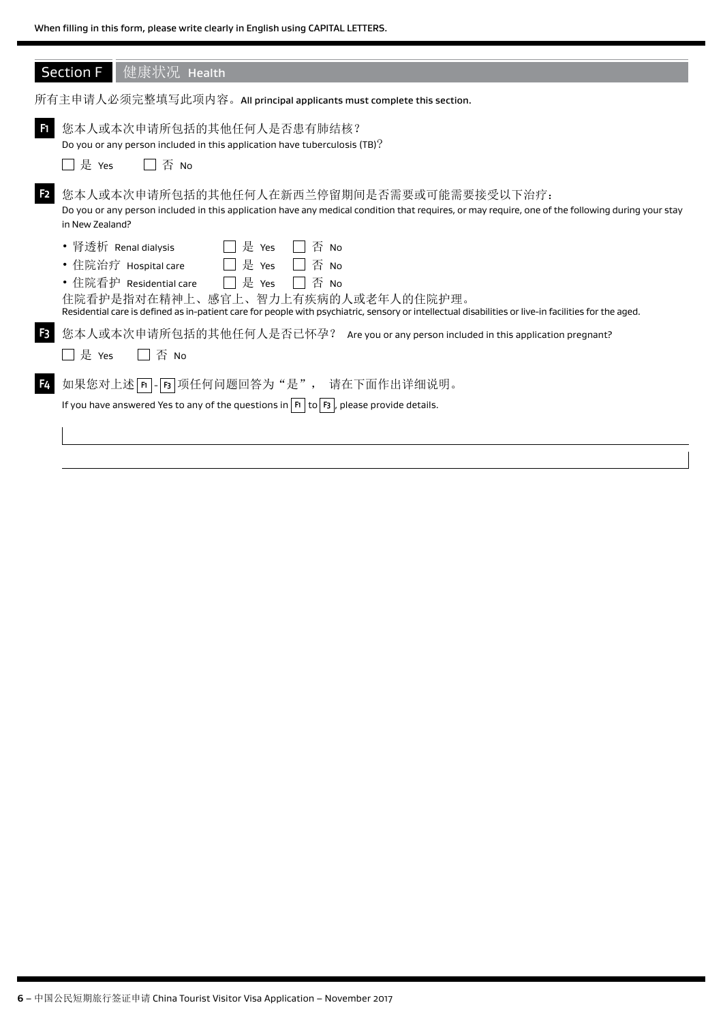|                | Section F 健康状况 Health                                                                                                                                                                                                                                                                                                     |
|----------------|---------------------------------------------------------------------------------------------------------------------------------------------------------------------------------------------------------------------------------------------------------------------------------------------------------------------------|
|                | 所有主申请人必须完整填写此项内容。All principal applicants must complete this section.                                                                                                                                                                                                                                                     |
| F <sub>1</sub> | 您本人或本次申请所包括的其他任何人是否患有肺结核?<br>Do you or any person included in this application have tuberculosis (TB)?<br>是 Yes<br>否 No                                                                                                                                                                                                   |
| F <sub>2</sub> | 您本人或本次申请所包括的其他任何人在新西兰停留期间是否需要或可能需要接受以下治疗:<br>Do you or any person included in this application have any medical condition that requires, or may require, one of the following during your stay<br>in New Zealand?                                                                                                         |
|                | 是 Yes<br>否 No<br>• 肾透析 Renal dialysis<br>是 Yes<br>・住院治疗 Hospital care<br>否 No<br>□ 是 Yes<br>• 住院看护 Residential care<br>否 No<br>住院看护是指对在精神上、感官上、智力上有疾病的人或老年人的住院护理。<br>Residential care is defined as in-patient care for people with psychiatric, sensory or intellectual disabilities or live-in facilities for the aged. |
| F <sub>3</sub> | 您本人或本次申请所包括的其他任何人是否已怀孕? Are you or any person included in this application pregnant?<br>是 Yes<br>否 No                                                                                                                                                                                                                     |
| F4             | 如果您对上述下- [5] 项任何问题回答为"是", 请在下面作出详细说明。<br>If you have answered Yes to any of the questions in $ F_1 $ to $ F_3 $ , please provide details.                                                                                                                                                                                 |
|                |                                                                                                                                                                                                                                                                                                                           |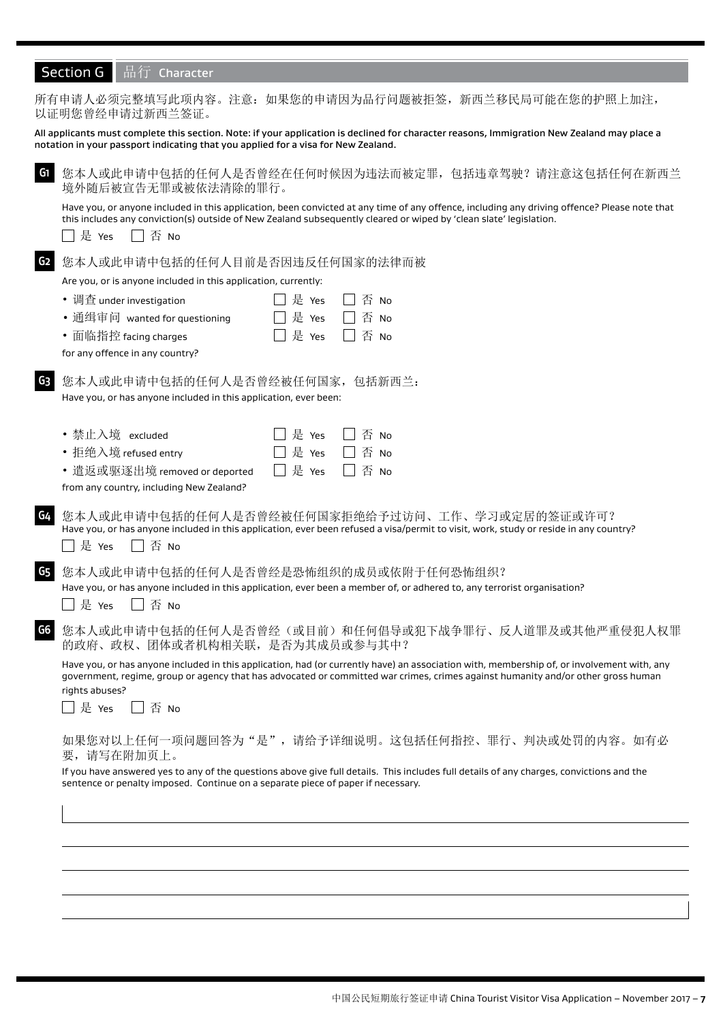| Section G 品行 Character |  |  |
|------------------------|--|--|
|                        |  |  |

|                | 所有申请人必须完整填写此项内容。注意: 如果您的申请因为品行问题被拒签, 新西兰移民局可能在您的护照上加注,<br>以证明您曾经申请过新西兰签证。                                                                                                                                                                                                            |
|----------------|--------------------------------------------------------------------------------------------------------------------------------------------------------------------------------------------------------------------------------------------------------------------------------------|
|                | All applicants must complete this section. Note: if your application is declined for character reasons, Immigration New Zealand may place a<br>notation in your passport indicating that you applied for a visa for New Zealand.                                                     |
| G <sub>1</sub> | 您本人或此申请中包括的任何人是否曾经在任何时候因为违法而被定罪,包括违章驾驶?请注意这包括任何在新西兰<br>境外随后被宣告无罪或被依法清除的罪行。                                                                                                                                                                                                           |
|                | Have you, or anyone included in this application, been convicted at any time of any offence, including any driving offence? Please note that<br>this includes any conviction(s) outside of New Zealand subsequently cleared or wiped by 'clean slate' legislation.<br> 是 Yes<br>否 No |
| G <sub>2</sub> | 您本人或此申请中包括的任何人目前是否因违反任何国家的法律而被                                                                                                                                                                                                                                                       |
|                | Are you, or is anyone included in this application, currently:                                                                                                                                                                                                                       |
|                | • 调查 under investigation<br> 是 Yes<br>否 No                                                                                                                                                                                                                                           |
|                | 是 Yes<br>否 No<br>• 通缉审问 wanted for questioning                                                                                                                                                                                                                                       |
|                | 是 Yes<br>否 No<br>• 面临指控 facing charges                                                                                                                                                                                                                                               |
|                | for any offence in any country?                                                                                                                                                                                                                                                      |
| G <sub>3</sub> | 您本人或此申请中包括的任何人是否曾经被任何国家,包括新西兰:<br>Have you, or has anyone included in this application, ever been:                                                                                                                                                                                   |
|                |                                                                                                                                                                                                                                                                                      |
|                | • 禁止入境 excluded<br>是 Yes<br>否 No<br>是 Yes                                                                                                                                                                                                                                            |
|                | • 拒绝入境 refused entry<br>否 No<br>是 Yes<br>否 No<br>• 遣返或驱逐出境 removed or deported                                                                                                                                                                                                       |
|                | from any country, including New Zealand?                                                                                                                                                                                                                                             |
|                |                                                                                                                                                                                                                                                                                      |
| G4             | 您本人或此申请中包括的任何人是否曾经被任何国家拒绝给予过访问、工作、学习或定居的签证或许可?<br>Have you, or has anyone included in this application, ever been refused a visa/permit to visit, work, study or reside in any country?                                                                                              |
|                | 否 No<br>ヿ是 Yes                                                                                                                                                                                                                                                                       |
| G5             | 您本人或此申请中包括的任何人是否曾经是恐怖组织的成员或依附于任何恐怖组织?                                                                                                                                                                                                                                                |
|                | Have you, or has anyone included in this application, ever been a member of, or adhered to, any terrorist organisation?                                                                                                                                                              |
|                | 否 No<br>□ 是 Yes                                                                                                                                                                                                                                                                      |
| G6             | 您本人或此申请中包括的任何人是否曾经(或目前)和任何倡导或犯下战争罪行、反人道罪及或其他严重侵犯人权罪                                                                                                                                                                                                                                  |
|                | 的政府、政权、团体或者机构相关联,是否为其成员或参与其中?                                                                                                                                                                                                                                                        |
|                | Have you, or has anyone included in this application, had (or currently have) an association with, membership of, or involvement with, any                                                                                                                                           |
|                | government, regime, group or agency that has advocated or committed war crimes, crimes against humanity and/or other gross human<br>rights abuses?                                                                                                                                   |
|                | 是 Yes<br>$\Box$ $\overline{\mathrm{B}}$ No                                                                                                                                                                                                                                           |
|                |                                                                                                                                                                                                                                                                                      |
|                | 如果您对以上任何一项问题回答为"是",请给予详细说明。这包括任何指控、罪行、判决或处罚的内容。如有必<br>要,请写在附加页上。                                                                                                                                                                                                                     |
|                | If you have answered yes to any of the questions above give full details. This includes full details of any charges, convictions and the<br>sentence or penalty imposed. Continue on a separate piece of paper if necessary.                                                         |
|                |                                                                                                                                                                                                                                                                                      |
|                |                                                                                                                                                                                                                                                                                      |
|                |                                                                                                                                                                                                                                                                                      |
|                |                                                                                                                                                                                                                                                                                      |
|                |                                                                                                                                                                                                                                                                                      |
|                |                                                                                                                                                                                                                                                                                      |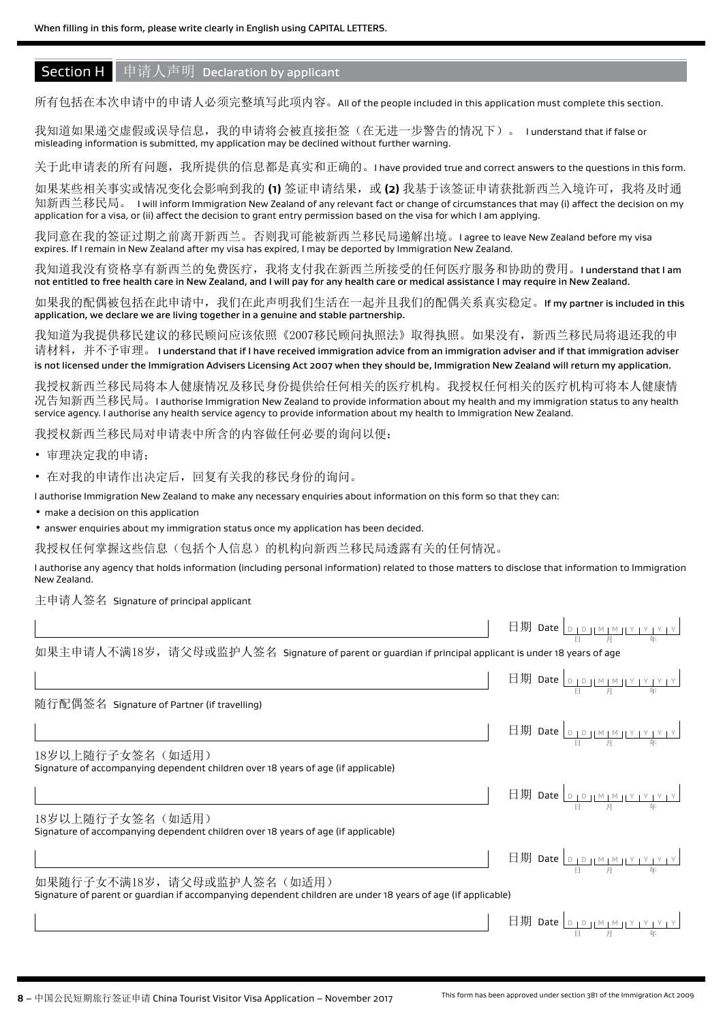# **Section H** 申请人声明 Declaration by applicant

所有包括在本次申请中的申请人必须完整填写此项内容。All of the people included in this application must complete this section.

我知道如果递交虚假或误导信息,我的申请将会被直接拒签(在无进一步警告的情况下)。 I understand that if false or misleading information is submitted, my application may be declined without further warning.

关于此申请表的所有问题,我所提供的信息都是真实和正确的。I have provided true and correct answers to the questions in this form.

如果某些相关事实或情况变化会影响到我的 **(1)** 签证申请结果,或 **(2)** 我基于该签证申请获批新西兰入境许可,我将及时通 知新西兰移民局。 I will inform Immigration New Zealand of any relevant fact or change of circumstances that may (i) affect the decision on my application for a visa, or (ii) affect the decision to grant entry permission based on the visa for which I am applying.

我同意在我的签证过期之前离开新西兰。否则我可能被新西兰移民局递解出境。I agree to leave New Zealand before my visa expires. If I remain in New Zealand after my visa has expired, I may be deported by Immigration New Zealand.

我知道我没有资格享有新西兰的免费医疗,我将支付我在新西兰所接受的任何医疗服务和协助的费用。I understand that I am not entitled to free health care in New Zealand, and I will pay for any health care or medical assistance I may require in New Zealand.

如果我的配偶被包括在此申请中,我们在此声明我们生活在一起并且我们的配偶关系真实稳定。If my partner is included in this application, we declare we are living together in a genuine and stable partnership.

我知道为我提供移民建议的移民顾问应该依照《2007移民顾问执照法》取得执照。如果没有,新西兰移民局将退还我的申 请材料,并不予审理。 I understand that if I have received immigration advice from an immigration adviser and if that immigration adviser is not licensed under the Immigration Advisers Licensing Act 2007 when they should be, Immigration New Zealand will return my application.

我授权新西兰移民局将本人健康情况及移民身份提供给任何相关的医疗机构。我授权任何相关的医疗机构可将本人健康情 况告知新西兰移民局。I authorise Immigration New Zealand to provide information about my health and my immigration status to any health service agency. I authorise any health service agency to provide information about my health to Immigration New Zealand.

我授权新西兰移民局对申请表中所含的内容做任何必要的询问以便:

• 审理决定我的申请;

• 在对我的申请作出决定后,回复有关我的移民身份的询问。

I authorise Immigration New Zealand to make any necessary enquiries about information on this form so that they can:

• make a decision on this application

• answer enquiries about my immigration status once my application has been decided.

我授权任何掌握这些信息(包括个人信息)的机构向新西兰移民局透露有关的任何情况。

I authorise any agency that holds information (including personal information) related to those matters to disclose that information to Immigration New Zealand.

主申请人签名 Signature of principal applicant

|                                                                                                                                            | 日期 Date $\boxed{D \perp D \perp M \perp M \perp Y \perp Y \perp Y \perp Y}$                                                                                                              |
|--------------------------------------------------------------------------------------------------------------------------------------------|------------------------------------------------------------------------------------------------------------------------------------------------------------------------------------------|
| 如果主申请人不满18岁,请父母或监护人签名  Signature of parent or guardian if principal applicant is under 18 years of age                                     |                                                                                                                                                                                          |
|                                                                                                                                            |                                                                                                                                                                                          |
| 随行配偶签名 Signature of Partner (if travelling)                                                                                                |                                                                                                                                                                                          |
|                                                                                                                                            | 日期 Date $\frac{\log \left[\frac{D}{D} \right] \log \left[\frac{N}{D} \right] \log \left[\frac{N}{D} \right] \log \left[\frac{N}{D} \right]}{\frac{N}{D} \log \left[\frac{N}{D} \right]}$ |
| 18岁以上随行子女签名(如适用)<br>Signature of accompanying dependent children over 18 years of age (if applicable)                                      |                                                                                                                                                                                          |
|                                                                                                                                            |                                                                                                                                                                                          |
| 18岁以上随行子女签名(如适用)<br>Signature of accompanying dependent children over 18 years of age (if applicable)                                      |                                                                                                                                                                                          |
|                                                                                                                                            | 日期 Date $\boxed{\frac{D+D+M+M+Y+Y+Y}{B}$                                                                                                                                                 |
| 如果随行子女不满18岁,请父母或监护人签名(如适用)<br>Signature of parent or guardian if accompanying dependent children are under 18 years of age (if applicable) |                                                                                                                                                                                          |
|                                                                                                                                            | 日期 Date DIDJMIMIYIYIYIY                                                                                                                                                                  |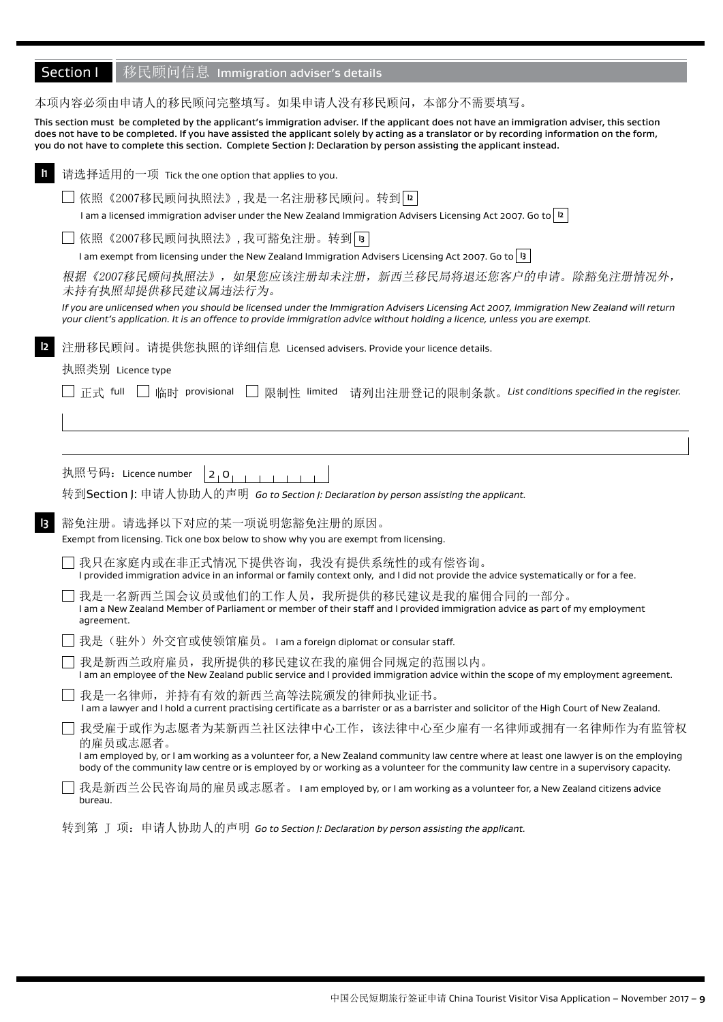| 本项内容必须由申请人的移民顾问完整填写。如果申请人没有移民顾问,本部分不需要填写。                                                                                                                                                                                                                                                                                                                                                                         |
|-------------------------------------------------------------------------------------------------------------------------------------------------------------------------------------------------------------------------------------------------------------------------------------------------------------------------------------------------------------------------------------------------------------------|
| This section must be completed by the applicant's immigration adviser. If the applicant does not have an immigration adviser, this section<br>does not have to be completed. If you have assisted the applicant solely by acting as a translator or by recording information on the form,<br>you do not have to complete this section. Complete Section J: Declaration by person assisting the applicant instead. |
| 请选择适用的一项 Tick the one option that applies to you.                                                                                                                                                                                                                                                                                                                                                                 |
| 依照《2007移民顾问执照法》,我是一名注册移民顾问。转到 [12]                                                                                                                                                                                                                                                                                                                                                                                |
| l am a licensed immigration adviser under the New Zealand Immigration Advisers Licensing Act 2007. Go to   12                                                                                                                                                                                                                                                                                                     |
| 依照《2007移民顾问执照法》,我可豁免注册。转到 B                                                                                                                                                                                                                                                                                                                                                                                       |
| I am exempt from licensing under the New Zealand Immigration Advisers Licensing Act 2007. Go to   13                                                                                                                                                                                                                                                                                                              |
| 根据《2007移民顾问执照法》,如果您应该注册却未注册,新西兰移民局将退还您客户的申请。除豁免注册情况外,<br>未持有执照却提供移民建议属违法行为。                                                                                                                                                                                                                                                                                                                                       |
| If you are unlicensed when you should be licensed under the Immigration Advisers Licensing Act 2007, Immigration New Zealand will return<br>your client's application. It is an offence to provide immigration advice without holding a licence, unless you are exempt.                                                                                                                                           |
| 注册移民顾问。请提供您执照的详细信息 Licensed advisers. Provide your licence details.                                                                                                                                                                                                                                                                                                                                               |
| 执照类别 Licence type                                                                                                                                                                                                                                                                                                                                                                                                 |
| 正式 full<br>□ 临时 provisional □ 限制性 limited 请列出注册登记的限制条款。List conditions specified in the register.                                                                                                                                                                                                                                                                                                                 |
|                                                                                                                                                                                                                                                                                                                                                                                                                   |
|                                                                                                                                                                                                                                                                                                                                                                                                                   |
|                                                                                                                                                                                                                                                                                                                                                                                                                   |
| 执照号码: Licence number                                                                                                                                                                                                                                                                                                                                                                                              |
| 2, 0, 1, 1                                                                                                                                                                                                                                                                                                                                                                                                        |
| 转到Section J: 申请人协助人的声明  Go to Section J: Declaration by person assisting the applicant.                                                                                                                                                                                                                                                                                                                           |
|                                                                                                                                                                                                                                                                                                                                                                                                                   |
| 豁免注册。请选择以下对应的某一项说明您豁免注册的原因。<br>$\vert$ 3<br>Exempt from licensing. Tick one box below to show why you are exempt from licensing.                                                                                                                                                                                                                                                                                  |
| 我只在家庭内或在非正式情况下提供咨询,我没有提供系统性的或有偿咨询。<br>I provided immigration advice in an informal or family context only, and I did not provide the advice systematically or for a fee.                                                                                                                                                                                                                                          |
| 我是一名新西兰国会议员或他们的工作人员,我所提供的移民建议是我的雇佣合同的一部分。<br>I am a New Zealand Member of Parliament or member of their staff and I provided immigration advice as part of my employment<br>agreement.                                                                                                                                                                                                                            |
| 我是(驻外)外交官或使领馆雇员。I am a foreign diplomat or consular staff.                                                                                                                                                                                                                                                                                                                                                        |
| 我是新西兰政府雇员, 我所提供的移民建议在我的雇佣合同规定的范围以内。<br>I am an employee of the New Zealand public service and I provided immigration advice within the scope of my employment agreement.                                                                                                                                                                                                                                          |
| 我是一名律师, 并持有有效的新西兰高等法院颁发的律师执业证书。<br>I am a lawyer and I hold a current practising certificate as a barrister or as a barrister and solicitor of the High Court of New Zealand.                                                                                                                                                                                                                                     |
| 我受雇于或作为志愿者为某新西兰社区法律中心工作,该法律中心至少雇有一名律师或拥有一名律师作为有监管权<br>的雇员或志愿者。<br>I am employed by, or I am working as a volunteer for, a New Zealand community law centre where at least one lawyer is on the employing<br>body of the community law centre or is employed by or working as a volunteer for the community law centre in a supervisory capacity.                                                                  |
| 我是新西兰公民咨询局的雇员或志愿者。I am employed by, or I am working as a volunteer for, a New Zealand citizens advice<br>bureau.                                                                                                                                                                                                                                                                                                  |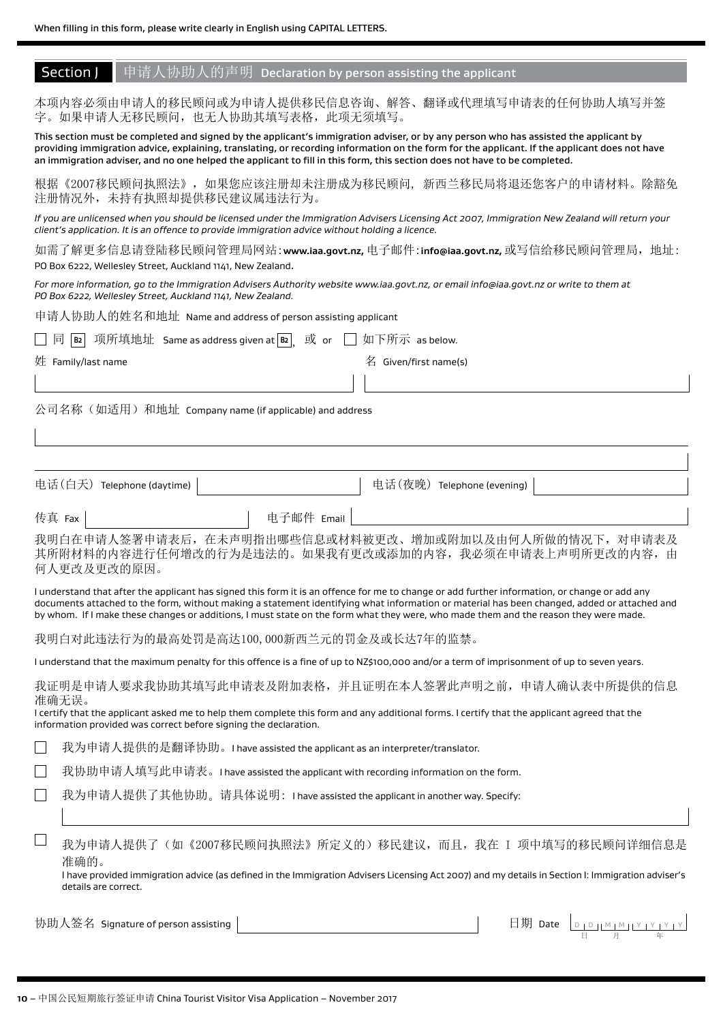# **Section J** 申请人协助人的声明 Declaration by person assisting the applicant

本项内容必须由申请人的移民顾问或为申请人提供移民信息咨询、解答、翻译或代理填写申请表的任何协助人填写并签 字。如果申请人无移民顾问,也无人协助其填写表格,此项无须填写。

This section must be completed and signed by the applicant's immigration adviser, or by any person who has assisted the applicant by providing immigration advice, explaining, translating, or recording information on the form for the applicant. If the applicant does not have an immigration adviser, and no one helped the applicant to fill in this form, this section does not have to be completed.

根据《2007移民顾问执照法》,如果您应该注册却未注册成为移民顾问, 新西兰移民局将退还您客户的申请材料。除豁免 注册情况外,未持有执照却提供移民建议属违法行为。

*If you are unlicensed when you should be licensed under the Immigration Advisers Licensing Act 2007, Immigration New Zealand will return your client's application. It is an offence to provide immigration advice without holding a licence.*

如需了解更多信息请登陆移民顾问管理局网站:**www.iaa.govt.nz,** 电子邮件:**info@iaa.govt.nz,** 或写信给移民顾问管理局,地址: PO Box 6222, Wellesley Street, Auckland 1141, New Zealand.

*For more information, go to the Immigration Advisers Authority website www.iaa.govt.nz, or email info@iaa.govt.nz or write to them at PO Box 6222, Wellesley Street, Auckland 1141, New Zealand.*

申请人协助人的姓名和地址 Name and address of person assisting applicant

|  |  | □ 同 B2 项所填地址 Same as address given at B2 或 or □ 如下所示 as below. |  |  |  |  |
|--|--|----------------------------------------------------------------|--|--|--|--|
|--|--|----------------------------------------------------------------|--|--|--|--|

姓 Family/last name  $\pm 2$  and  $\pm 3$  and  $\pm 4$  and  $\pm 4$  Given/first name(s)

公司名称(如适用)和地址 Company name (if applicable) and address

| 电话(白天) Telephone (daytime) | 电话(夜晚) Telephone (evening) |
|----------------------------|----------------------------|
| 传真 Fax                     | 电子邮件 Email                 |

我明白在申请人签署申请表后,在未声明指出哪些信息或材料被更改、增加或附加以及由何人所做的情况下,对申请表及 其所附材料的内容进行任何增改的行为是违法的。如果我有更改或添加的内容,我必须在申请表上声明所更改的内容,由 何人更改及更改的原因。

I understand that after the applicant has signed this form it is an offence for me to change or add further information, or change or add any documents attached to the form, without making a statement identifying what information or material has been changed, added or attached and by whom. If I make these changes or additions, I must state on the form what they were, who made them and the reason they were made.

我明白对此违法行为的最高处罚是高达100,000新西兰元的罚金及或长达7年的监禁。

I understand that the maximum penalty for this offence is a fine of up to NZ\$100,000 and/or a term of imprisonment of up to seven years.

我证明是申请人要求我协助其填写此申请表及附加表格,并且证明在本人签署此声明之前,申请人确认表中所提供的信息 准确无误。

I certify that the applicant asked me to help them complete this form and any additional forms. I certify that the applicant agreed that the information provided was correct before signing the declaration.

我为申请人提供的是翻译协助。I have assisted the applicant as an interpreter/translator.

我协助申请人填写此申请表。I have assisted the applicant with recording information on the form.

我为申请人提供了其他协助。请具体说明: I have assisted the applicant in another way. Specify:

我为申请人提供了(如《2007移民顾问执照法》所定义的)移民建议,而且,我在 I 项中填写的移民顾问详细信息是 准确的。

I have provided immigration advice (as defined in the Immigration Advisers Licensing Act 2007) and my details in Section I: Immigration adviser's details are correct.

协助人签名 Signature of person assisting

 $\Box$ 

 D D M M Y Y Y Y 日 月 年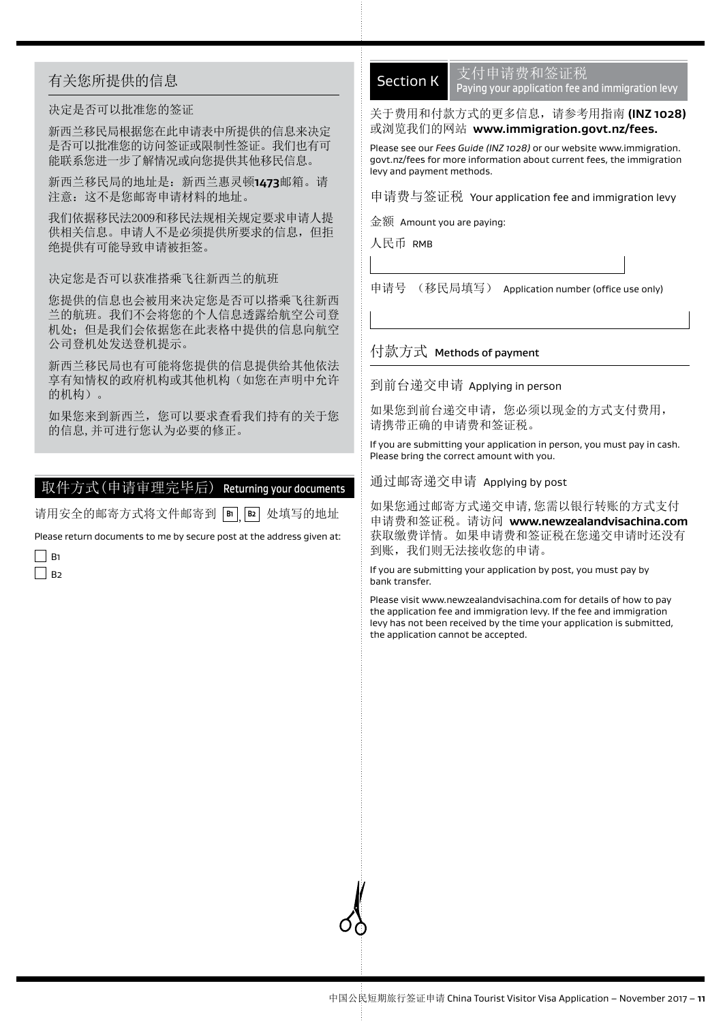# 有关您所提供的信息

### 决定是否可以批准您的签证

新西兰移民局根据您在此申请表中所提供的信息来决定 是否可以批准您的访问签证或限制性签证。我们也有可 能联系您进一步了解情况或向您提供其他移民信息。

新西兰移民局的地址是:新西兰惠灵顿**1473**邮箱。请 注意:这不是您邮寄申请材料的地址。

我们依据移民法2009和移民法规相关规定要求申请人提 供相关信息。申请人不是必须提供所要求的信息,但拒 绝提供有可能导致申请被拒签。

决定您是否可以获准搭乘飞往新西兰的航班

您提供的信息也会被用来决定您是否可以搭乘飞往新西 兰的航班。我们不会将您的个人信息透露给航空公司登 机处;但是我们会依据您在此表格中提供的信息向航空 公司登机处发送登机提示。

新西兰移民局也有可能将您提供的信息提供给其他依法 享有知情权的政府机构或其他机构(如您在声明中允许 的机构)。

如果您来到新西兰,您可以要求查看我们持有的关于您 的信息,并可进行您认为必要的修正。

# 取件方式(申请审理完毕后) Returning your documents

请用安全的邮寄方式将文件邮寄到 **B1** , **B2** 处填写的地址

Please return documents to me by secure post at the address given at:

 $\Box$  B1  $\Box$  B<sub>2</sub>

# Section K

支付申请费和签证税 Paying your application fee and immigration levy

## 关于费用和付款方式的更多信息,请参考用指南 **(INZ 1028)**  或浏览我们的网站 **www.immigration.govt.nz/fees.**

Please see our *Fees Guide (INZ 1028)* or our website www.immigration. govt.nz/fees for more information about current fees, the immigration levy and payment methods.

申请费与签证税 Your application fee and immigration levy

金额 Amount you are paying:

人民币 RMB

申请号 (移民局填写) Application number (office use only)

### 付款方式 Methods of payment

到前台递交申请 Applying in person

如果您到前台递交申请,您必须以现金的方式支付费用, 请携带正确的申请费和签证税。

If you are submitting your application in person, you must pay in cash. Please bring the correct amount with you.

通过邮寄递交申请 Applying by post

如果您通过邮寄方式递交申请,您需以银行转账的方式支付 申请费和签证税。请访问 **www.newzealandvisachina.com** 获取缴费详情。如果申请费和签证税在您递交申请时还没有 到账,我们则无法接收您的申请。

If you are submitting your application by post, you must pay by bank transfer.

Please visit www.newzealandvisachina.com for details of how to pay the application fee and immigration levy. If the fee and immigration levy has not been received by the time your application is submitted, the application cannot be accepted.